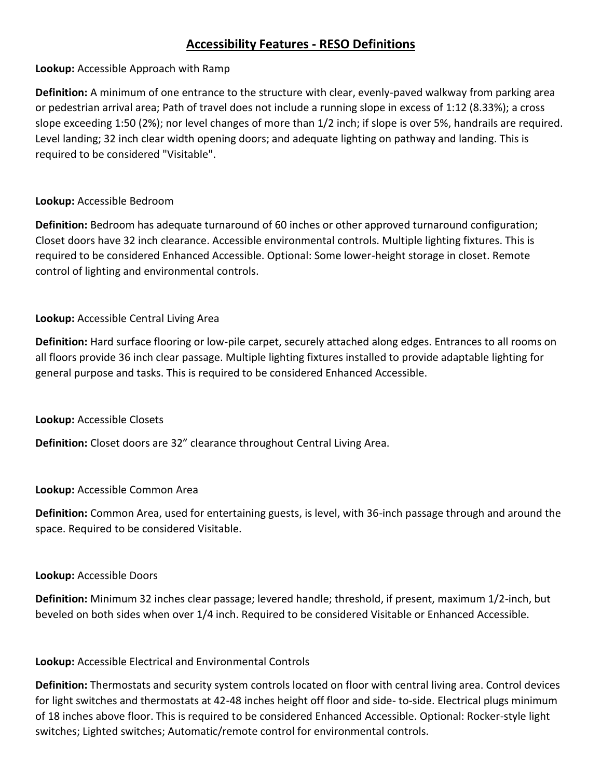# **Accessibility Features - RESO Definitions**

# **Lookup:** Accessible Approach with Ramp

**Definition:** A minimum of one entrance to the structure with clear, evenly-paved walkway from parking area or pedestrian arrival area; Path of travel does not include a running slope in excess of 1:12 (8.33%); a cross slope exceeding 1:50 (2%); nor level changes of more than 1/2 inch; if slope is over 5%, handrails are required. Level landing; 32 inch clear width opening doors; and adequate lighting on pathway and landing. This is required to be considered "Visitable".

# **Lookup:** Accessible Bedroom

**Definition:** Bedroom has adequate turnaround of 60 inches or other approved turnaround configuration; Closet doors have 32 inch clearance. Accessible environmental controls. Multiple lighting fixtures. This is required to be considered Enhanced Accessible. Optional: Some lower-height storage in closet. Remote control of lighting and environmental controls.

# **Lookup:** Accessible Central Living Area

**Definition:** Hard surface flooring or low-pile carpet, securely attached along edges. Entrances to all rooms on all floors provide 36 inch clear passage. Multiple lighting fixtures installed to provide adaptable lighting for general purpose and tasks. This is required to be considered Enhanced Accessible.

### **Lookup:** Accessible Closets

**Definition:** Closet doors are 32" clearance throughout Central Living Area.

### **Lookup:** Accessible Common Area

**Definition:** Common Area, used for entertaining guests, is level, with 36-inch passage through and around the space. Required to be considered Visitable.

### **Lookup:** Accessible Doors

**Definition:** Minimum 32 inches clear passage; levered handle; threshold, if present, maximum 1/2-inch, but beveled on both sides when over 1/4 inch. Required to be considered Visitable or Enhanced Accessible.

# **Lookup:** Accessible Electrical and Environmental Controls

**Definition:** Thermostats and security system controls located on floor with central living area. Control devices for light switches and thermostats at 42-48 inches height off floor and side- to-side. Electrical plugs minimum of 18 inches above floor. This is required to be considered Enhanced Accessible. Optional: Rocker-style light switches; Lighted switches; Automatic/remote control for environmental controls.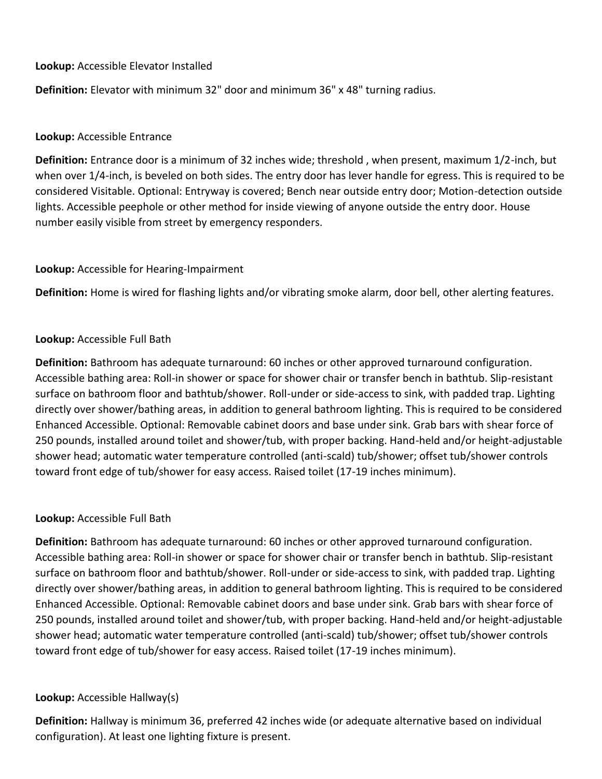### **Lookup:** Accessible Elevator Installed

**Definition:** Elevator with minimum 32" door and minimum 36" x 48" turning radius.

### **Lookup:** Accessible Entrance

**Definition:** Entrance door is a minimum of 32 inches wide; threshold , when present, maximum 1/2-inch, but when over 1/4-inch, is beveled on both sides. The entry door has lever handle for egress. This is required to be considered Visitable. Optional: Entryway is covered; Bench near outside entry door; Motion-detection outside lights. Accessible peephole or other method for inside viewing of anyone outside the entry door. House number easily visible from street by emergency responders.

### **Lookup:** Accessible for Hearing-Impairment

**Definition:** Home is wired for flashing lights and/or vibrating smoke alarm, door bell, other alerting features.

# **Lookup:** Accessible Full Bath

**Definition:** Bathroom has adequate turnaround: 60 inches or other approved turnaround configuration. Accessible bathing area: Roll-in shower or space for shower chair or transfer bench in bathtub. Slip-resistant surface on bathroom floor and bathtub/shower. Roll-under or side-access to sink, with padded trap. Lighting directly over shower/bathing areas, in addition to general bathroom lighting. This is required to be considered Enhanced Accessible. Optional: Removable cabinet doors and base under sink. Grab bars with shear force of 250 pounds, installed around toilet and shower/tub, with proper backing. Hand-held and/or height-adjustable shower head; automatic water temperature controlled (anti-scald) tub/shower; offset tub/shower controls toward front edge of tub/shower for easy access. Raised toilet (17-19 inches minimum).

### **Lookup:** Accessible Full Bath

**Definition:** Bathroom has adequate turnaround: 60 inches or other approved turnaround configuration. Accessible bathing area: Roll-in shower or space for shower chair or transfer bench in bathtub. Slip-resistant surface on bathroom floor and bathtub/shower. Roll-under or side-access to sink, with padded trap. Lighting directly over shower/bathing areas, in addition to general bathroom lighting. This is required to be considered Enhanced Accessible. Optional: Removable cabinet doors and base under sink. Grab bars with shear force of 250 pounds, installed around toilet and shower/tub, with proper backing. Hand-held and/or height-adjustable shower head; automatic water temperature controlled (anti-scald) tub/shower; offset tub/shower controls toward front edge of tub/shower for easy access. Raised toilet (17-19 inches minimum).

# **Lookup:** Accessible Hallway(s)

**Definition:** Hallway is minimum 36, preferred 42 inches wide (or adequate alternative based on individual configuration). At least one lighting fixture is present.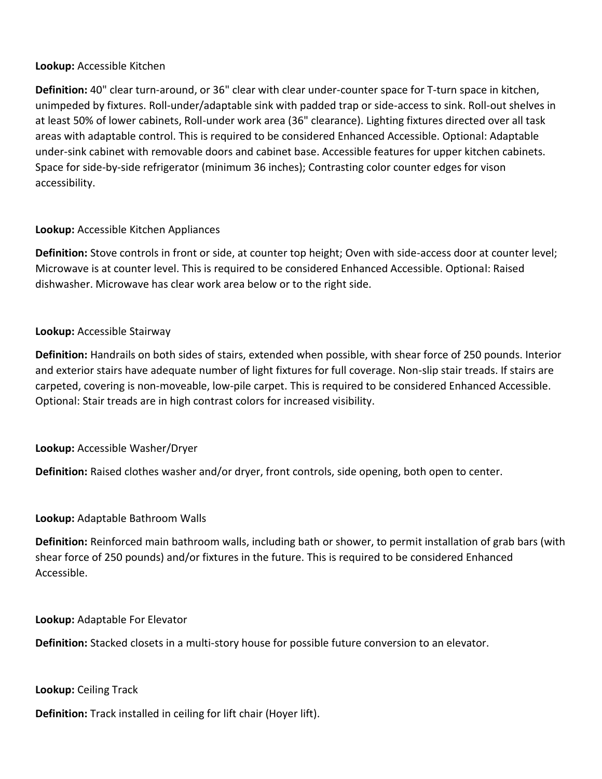### **Lookup:** Accessible Kitchen

**Definition:** 40" clear turn-around, or 36" clear with clear under-counter space for T-turn space in kitchen, unimpeded by fixtures. Roll-under/adaptable sink with padded trap or side-access to sink. Roll-out shelves in at least 50% of lower cabinets, Roll-under work area (36" clearance). Lighting fixtures directed over all task areas with adaptable control. This is required to be considered Enhanced Accessible. Optional: Adaptable under-sink cabinet with removable doors and cabinet base. Accessible features for upper kitchen cabinets. Space for side-by-side refrigerator (minimum 36 inches); Contrasting color counter edges for vison accessibility.

# **Lookup:** Accessible Kitchen Appliances

**Definition:** Stove controls in front or side, at counter top height; Oven with side-access door at counter level; Microwave is at counter level. This is required to be considered Enhanced Accessible. Optional: Raised dishwasher. Microwave has clear work area below or to the right side.

# **Lookup:** Accessible Stairway

**Definition:** Handrails on both sides of stairs, extended when possible, with shear force of 250 pounds. Interior and exterior stairs have adequate number of light fixtures for full coverage. Non-slip stair treads. If stairs are carpeted, covering is non-moveable, low-pile carpet. This is required to be considered Enhanced Accessible. Optional: Stair treads are in high contrast colors for increased visibility.

# **Lookup:** Accessible Washer/Dryer

**Definition:** Raised clothes washer and/or dryer, front controls, side opening, both open to center.

# **Lookup:** Adaptable Bathroom Walls

**Definition:** Reinforced main bathroom walls, including bath or shower, to permit installation of grab bars (with shear force of 250 pounds) and/or fixtures in the future. This is required to be considered Enhanced Accessible.

**Lookup:** Adaptable For Elevator

**Definition:** Stacked closets in a multi-story house for possible future conversion to an elevator.

**Lookup:** Ceiling Track

**Definition:** Track installed in ceiling for lift chair (Hoyer lift).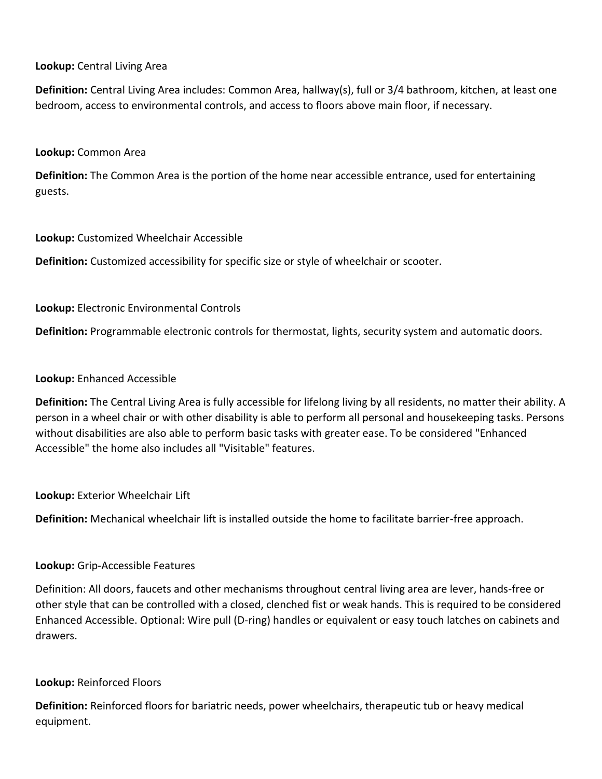### **Lookup:** Central Living Area

**Definition:** Central Living Area includes: Common Area, hallway(s), full or 3/4 bathroom, kitchen, at least one bedroom, access to environmental controls, and access to floors above main floor, if necessary.

#### **Lookup:** Common Area

**Definition:** The Common Area is the portion of the home near accessible entrance, used for entertaining guests.

#### **Lookup:** Customized Wheelchair Accessible

**Definition:** Customized accessibility for specific size or style of wheelchair or scooter.

### **Lookup:** Electronic Environmental Controls

**Definition:** Programmable electronic controls for thermostat, lights, security system and automatic doors.

#### **Lookup:** Enhanced Accessible

**Definition:** The Central Living Area is fully accessible for lifelong living by all residents, no matter their ability. A person in a wheel chair or with other disability is able to perform all personal and housekeeping tasks. Persons without disabilities are also able to perform basic tasks with greater ease. To be considered "Enhanced Accessible" the home also includes all "Visitable" features.

**Lookup:** Exterior Wheelchair Lift

**Definition:** Mechanical wheelchair lift is installed outside the home to facilitate barrier-free approach.

### **Lookup:** Grip-Accessible Features

Definition: All doors, faucets and other mechanisms throughout central living area are lever, hands-free or other style that can be controlled with a closed, clenched fist or weak hands. This is required to be considered Enhanced Accessible. Optional: Wire pull (D-ring) handles or equivalent or easy touch latches on cabinets and drawers.

#### **Lookup:** Reinforced Floors

**Definition:** Reinforced floors for bariatric needs, power wheelchairs, therapeutic tub or heavy medical equipment.